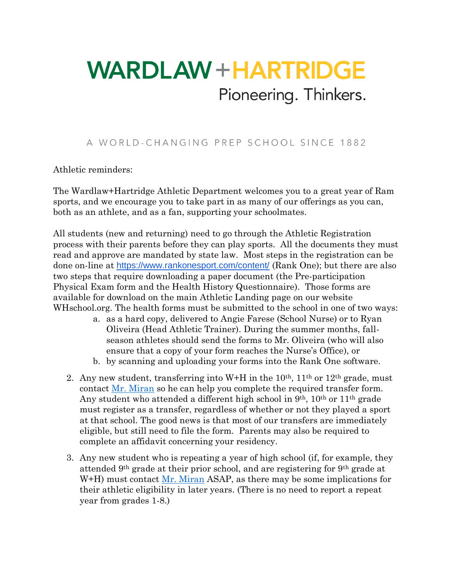## **WARDLAW + HARTRIDGE** Pioneering. Thinkers.

## A WORLD-CHANGING PREP SCHOOL SINCE 1882

Athletic reminders:

The Wardlaw+Hartridge Athletic Department welcomes you to a great year of Ram sports, and we encourage you to take part in as many of our offerings as you can, both as an athlete, and as a fan, supporting your schoolmates.

All students (new and returning) need to go through the Athletic Registration process with their parents before they can play sports. All the documents they must read and approve are mandated by state law. Most steps in the registration can be done on-line at <https://www.rankonesport.com/content/> (Rank One); but there are also two steps that require downloading a paper document (the Pre-participation Physical Exam form and the Health History Questionnaire). Those forms are available for download on the main Athletic Landing page on our website WHschool.org. The health forms must be submitted to the school in one of two ways:

- a. as a hard copy, delivered to Angie Farese (School Nurse) or to Ryan Oliveira (Head Athletic Trainer). During the summer months, fallseason athletes should send the forms to Mr. Oliveira (who will also ensure that a copy of your form reaches the Nurse's Office), or
- b. by scanning and uploading your forms into the Rank One software.
- 2. Any new student, transferring into W+H in the  $10<sup>th</sup>$ ,  $11<sup>th</sup>$  or  $12<sup>th</sup>$  grade, must contact [Mr. Miran](mailto:kmiran@WHschool.org?subject=Transferring%20in%20to%20W+H) so he can help you complete the required transfer form. Any student who attended a different high school in 9th, 10th or 11th grade must register as a transfer, regardless of whether or not they played a sport at that school. The good news is that most of our transfers are immediately eligible, but still need to file the form. Parents may also be required to complete an affidavit concerning your residency.
- 3. Any new student who is repeating a year of high school (if, for example, they attended 9th grade at their prior school, and are registering for 9th grade at W+H) must contact  $Mr$ . Miran ASAP, as there may be some implications for their athletic eligibility in later years. (There is no need to report a repeat year from grades 1-8.)